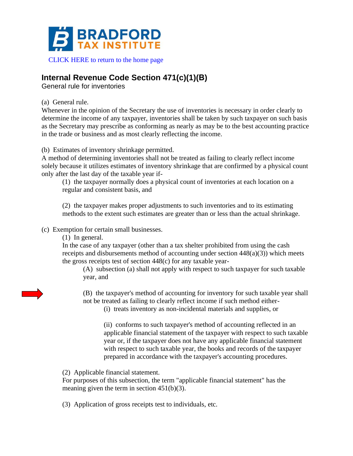

## **Internal Revenue Code Section 471(c)(1)(B)**

General rule for inventories

(a) General rule.

Whenever in the opinion of the Secretary the use of inventories is necessary in order clearly to determine the income of any taxpayer, inventories shall be taken by such taxpayer on such basis as the Secretary may prescribe as conforming as nearly as may be to the best accounting practice in the trade or business and as most clearly reflecting the income.

(b) Estimates of inventory shrinkage permitted.

A method of determining inventories shall not be treated as failing to clearly reflect income solely because it utilizes estimates of inventory shrinkage that are confirmed by a physical count only after the last day of the taxable year if-

(1) the taxpayer normally does a physical count of inventories at each location on a regular and consistent basis, and

(2) the taxpayer makes proper adjustments to such inventories and to its estimating methods to the extent such estimates are greater than or less than the actual shrinkage.

(c) Exemption for certain small businesses.

(1) In general.

In the case of any taxpayer (other than a tax shelter prohibited from using the cash receipts and disbursements method of accounting under section 448(a)(3)) which meets the gross receipts test of section 448(c) for any taxable year-

(A) subsection (a) shall not apply with respect to such taxpayer for such taxable year, and

(B) the taxpayer's method of accounting for inventory for such taxable year shall not be treated as failing to clearly reflect income if such method either-

(i) treats inventory as non-incidental materials and supplies, or

(ii) conforms to such taxpayer's method of accounting reflected in an applicable financial statement of the taxpayer with respect to such taxable year or, if the taxpayer does not have any applicable financial statement with respect to such taxable year, the books and records of the taxpayer prepared in accordance with the taxpayer's accounting procedures.

(2) Applicable financial statement.

For purposes of this subsection, the term "applicable financial statement" has the meaning given the term in section 451(b)(3).

(3) Application of gross receipts test to individuals, etc.